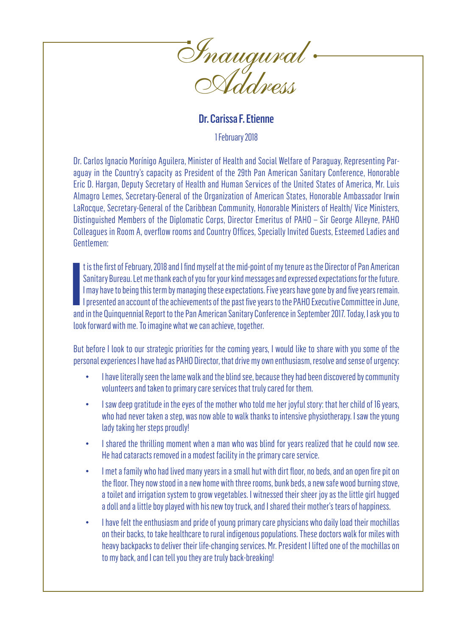

## Dr. Carissa F. Etienne

1 February 2018

Dr. Carlos Ignacio Morínigo Aguilera, Minister of Health and Social Welfare of Paraguay, Representing Paraguay in the Country's capacity as President of the 29th Pan American Sanitary Conference, Honorable Eric D. Hargan, Deputy Secretary of Health and Human Services of the United States of America, Mr. Luis Almagro Lemes, Secretary-General of the Organization of American States, Honorable Ambassador Irwin LaRocque, Secretary-General of the Caribbean Community, Honorable Ministers of Health/ Vice Ministers, Distinguished Members of the Diplomatic Corps, Director Emeritus of PAHO – Sir George Alleyne, PAHO Colleagues in Room A, overflow rooms and Country Offices, Specially Invited Guests, Esteemed Ladies and Gentlemen:

It is the first of February, 2018 and I find myself at the mid-point of my tenure as the Director of Pan American<br>Sanitary Bureau. Let me thank each of you for your kind messages and expressed expectations for the future.<br> t is the first of February, 2018 and I find myself at the mid-point of my tenure as the Director of Pan American Sanitary Bureau. Let me thank each of you for your kind messages and expressed expectations for the future. I may have to being this term by managing these expectations. Five years have gone by and five years remain. I presented an account of the achievements of the past five years to the PAHO Executive Committee in June, look forward with me. To imagine what we can achieve, together.

But before I look to our strategic priorities for the coming years, I would like to share with you some of the personal experiences I have had as PAHO Director, that drive my own enthusiasm, resolve and sense of urgency:

- I have literally seen the lame walk and the blind see, because they had been discovered by community volunteers and taken to primary care services that truly cared for them.
- I saw deep gratitude in the eyes of the mother who told me her joyful story: that her child of 16 years, who had never taken a step, was now able to walk thanks to intensive physiotherapy. I saw the young lady taking her steps proudly!
- I shared the thrilling moment when a man who was blind for years realized that he could now see. He had cataracts removed in a modest facility in the primary care service.
- I met a family who had lived many years in a small hut with dirt floor, no beds, and an open fire pit on the floor. They now stood in a new home with three rooms, bunk beds, a new safe wood burning stove, a toilet and irrigation system to grow vegetables. I witnessed their sheer joy as the little girl hugged a doll and a little boy played with his new toy truck, and I shared their mother's tears of happiness.
- I have felt the enthusiasm and pride of young primary care physicians who daily load their mochillas on their backs, to take healthcare to rural indigenous populations. These doctors walk for miles with heavy backpacks to deliver their life-changing services. Mr. President I lifted one of the mochillas on to my back, and I can tell you they are truly back-breaking!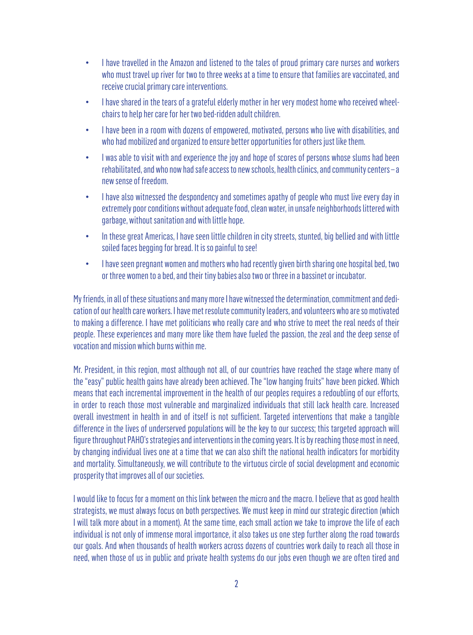- I have travelled in the Amazon and listened to the tales of proud primary care nurses and workers who must travel up river for two to three weeks at a time to ensure that families are vaccinated, and receive crucial primary care interventions.
- I have shared in the tears of a grateful elderly mother in her very modest home who received wheelchairs to help her care for her two bed-ridden adult children.
- I have been in a room with dozens of empowered, motivated, persons who live with disabilities, and who had mobilized and organized to ensure better opportunities for others just like them.
- I was able to visit with and experience the joy and hope of scores of persons whose slums had been rehabilitated, and who now had safe access to new schools, health clinics, and community centers – a new sense of freedom.
- I have also witnessed the despondency and sometimes apathy of people who must live every day in extremely poor conditions without adequate food, clean water, in unsafe neighborhoods littered with garbage, without sanitation and with little hope.
- In these great Americas, I have seen little children in city streets, stunted, big bellied and with little soiled faces begging for bread. It is so painful to see!
- I have seen pregnant women and mothers who had recently given birth sharing one hospital bed, two or three women to a bed, and their tiny babies also two or three in a bassinet or incubator.

My friends, in all of these situations and many more I have witnessed the determination, commitment and dedication of our health care workers. I have met resolute community leaders, and volunteers who are so motivated to making a difference. I have met politicians who really care and who strive to meet the real needs of their people. These experiences and many more like them have fueled the passion, the zeal and the deep sense of vocation and mission which burns within me.

Mr. President, in this region, most although not all, of our countries have reached the stage where many of the "easy" public health gains have already been achieved. The "low hanging fruits" have been picked. Which means that each incremental improvement in the health of our peoples requires a redoubling of our efforts, in order to reach those most vulnerable and marginalized individuals that still lack health care. Increased overall investment in health in and of itself is not sufficient. Targeted interventions that make a tangible difference in the lives of underserved populations will be the key to our success; this targeted approach will figure throughout PAHO's strategies and interventions in the coming years. It is by reaching those most in need, by changing individual lives one at a time that we can also shift the national health indicators for morbidity and mortality. Simultaneously, we will contribute to the virtuous circle of social development and economic prosperity that improves all of our societies.

I would like to focus for a moment on this link between the micro and the macro. I believe that as good health strategists, we must always focus on both perspectives. We must keep in mind our strategic direction (which I will talk more about in a moment). At the same time, each small action we take to improve the life of each individual is not only of immense moral importance, it also takes us one step further along the road towards our goals. And when thousands of health workers across dozens of countries work daily to reach all those in need, when those of us in public and private health systems do our jobs even though we are often tired and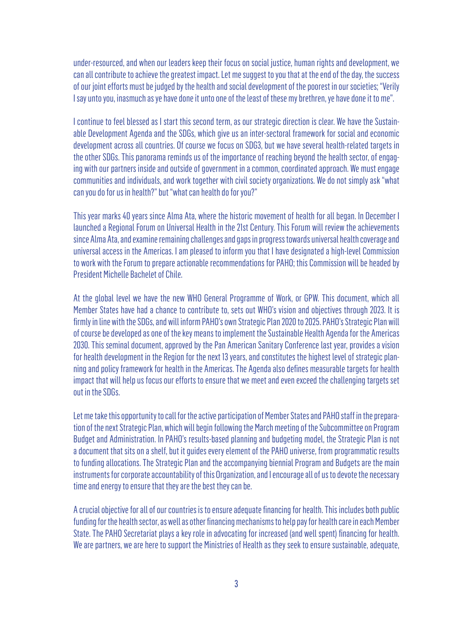under-resourced, and when our leaders keep their focus on social justice, human rights and development, we can all contribute to achieve the greatest impact. Let me suggest to you that at the end of the day, the success of our joint efforts must be judged by the health and social development of the poorest in our societies; "Verily I say unto you, inasmuch as ye have done it unto one of the least of these my brethren, ye have done it to me".

I continue to feel blessed as I start this second term, as our strategic direction is clear. We have the Sustainable Development Agenda and the SDGs, which give us an inter-sectoral framework for social and economic development across all countries. Of course we focus on SDG3, but we have several health-related targets in the other SDGs. This panorama reminds us of the importance of reaching beyond the health sector, of engaging with our partners inside and outside of government in a common, coordinated approach. We must engage communities and individuals, and work together with civil society organizations. We do not simply ask "what can you do for us in health?" but "what can health do for you?"

This year marks 40 years since Alma Ata, where the historic movement of health for all began. In December I launched a Regional Forum on Universal Health in the 21st Century. This Forum will review the achievements since Alma Ata, and examine remaining challenges and gaps in progress towards universal health coverage and universal access in the Americas. I am pleased to inform you that I have designated a high-level Commission to work with the Forum to prepare actionable recommendations for PAHO; this Commission will be headed by President Michelle Bachelet of Chile.

At the global level we have the new WHO General Programme of Work, or GPW. This document, which all Member States have had a chance to contribute to, sets out WHO's vision and objectives through 2023. It is firmly in line with the SDGs, and will inform PAHO's own Strategic Plan 2020 to 2025. PAHO's Strategic Plan will of course be developed as one of the key means to implement the Sustainable Health Agenda for the Americas 2030. This seminal document, approved by the Pan American Sanitary Conference last year, provides a vision for health development in the Region for the next 13 years, and constitutes the highest level of strategic planning and policy framework for health in the Americas. The Agenda also defines measurable targets for health impact that will help us focus our efforts to ensure that we meet and even exceed the challenging targets set out in the SDGs.

Let me take this opportunity to call for the active participation of Member States and PAHO staff in the preparation of the next Strategic Plan, which will begin following the March meeting of the Subcommittee on Program Budget and Administration. In PAHO's results-based planning and budgeting model, the Strategic Plan is not a document that sits on a shelf, but it guides every element of the PAHO universe, from programmatic results to funding allocations. The Strategic Plan and the accompanying biennial Program and Budgets are the main instruments for corporate accountability of this Organization, and I encourage all of us to devote the necessary time and energy to ensure that they are the best they can be.

A crucial objective for all of our countries is to ensure adequate financing for health. This includes both public funding for the health sector, as well as other financing mechanisms to help pay for health care in each Member State. The PAHO Secretariat plays a key role in advocating for increased (and well spent) financing for health. We are partners, we are here to support the Ministries of Health as they seek to ensure sustainable, adequate,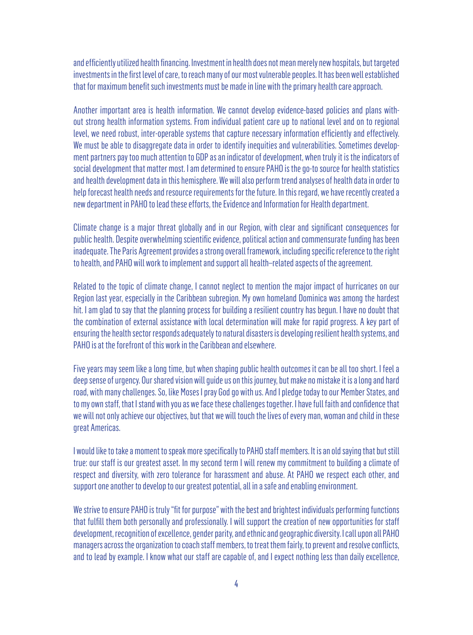and efficiently utilized health financing. Investment in health does not mean merely new hospitals, but targeted investments in the first level of care, to reach many of our most vulnerable peoples. It has been well established that for maximum benefit such investments must be made in line with the primary health care approach.

Another important area is health information. We cannot develop evidence-based policies and plans without strong health information systems. From individual patient care up to national level and on to regional level, we need robust, inter-operable systems that capture necessary information efficiently and effectively. We must be able to disaggregate data in order to identify inequities and vulnerabilities. Sometimes development partners pay too much attention to GDP as an indicator of development, when truly it is the indicators of social development that matter most. I am determined to ensure PAHO is the go-to source for health statistics and health development data in this hemisphere. We will also perform trend analyses of health data in order to help forecast health needs and resource requirements for the future. In this regard, we have recently created a new department in PAHO to lead these efforts, the Evidence and Information for Health department.

Climate change is a major threat globally and in our Region, with clear and significant consequences for public health. Despite overwhelming scientific evidence, political action and commensurate funding has been inadequate. The Paris Agreement provides a strong overall framework, including specific reference to the right to health, and PAHO will work to implement and support all health–related aspects of the agreement.

Related to the topic of climate change, I cannot neglect to mention the major impact of hurricanes on our Region last year, especially in the Caribbean subregion. My own homeland Dominica was among the hardest hit. I am glad to say that the planning process for building a resilient country has begun. I have no doubt that the combination of external assistance with local determination will make for rapid progress. A key part of ensuring the health sector responds adequately to natural disasters is developing resilient health systems, and PAHO is at the forefront of this work in the Caribbean and elsewhere.

Five years may seem like a long time, but when shaping public health outcomes it can be all too short. I feel a deep sense of urgency. Our shared vision will guide us on this journey, but make no mistake it is a long and hard road, with many challenges. So, like Moses I pray God go with us. And I pledge today to our Member States, and to my own staff, that I stand with you as we face these challenges together. I have full faith and confidence that we will not only achieve our objectives, but that we will touch the lives of every man, woman and child in these great Americas.

I would like to take a moment to speak more specifically to PAHO staff members. It is an old saying that but still true: our staff is our greatest asset. In my second term I will renew my commitment to building a climate of respect and diversity, with zero tolerance for harassment and abuse. At PAHO we respect each other, and support one another to develop to our greatest potential, all in a safe and enabling environment.

We strive to ensure PAHO is truly "fit for purpose" with the best and brightest individuals performing functions that fulfill them both personally and professionally. I will support the creation of new opportunities for staff development, recognition of excellence, gender parity, and ethnic and geographic diversity. I call upon all PAHO managers across the organization to coach staff members, to treat them fairly, to prevent and resolve conflicts, and to lead by example. I know what our staff are capable of, and I expect nothing less than daily excellence,